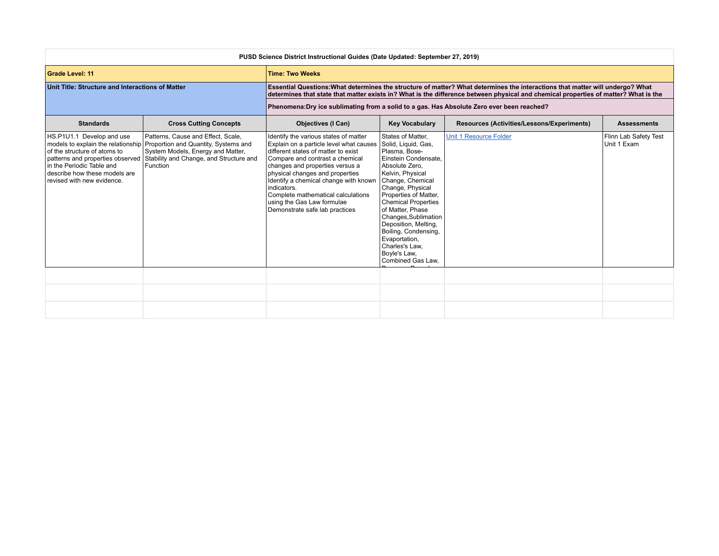| PUSD Science District Instructional Guides (Date Updated: September 27, 2019)                                                                         |                                                                                                                                                                                                                                            |                                                                                                                                                                                                                                                                                                                                                                                                |                                                                                                                                                                                                                                                                                                                                                                                            |                                                                                                                                                                                                                                                                      |                                      |  |
|-------------------------------------------------------------------------------------------------------------------------------------------------------|--------------------------------------------------------------------------------------------------------------------------------------------------------------------------------------------------------------------------------------------|------------------------------------------------------------------------------------------------------------------------------------------------------------------------------------------------------------------------------------------------------------------------------------------------------------------------------------------------------------------------------------------------|--------------------------------------------------------------------------------------------------------------------------------------------------------------------------------------------------------------------------------------------------------------------------------------------------------------------------------------------------------------------------------------------|----------------------------------------------------------------------------------------------------------------------------------------------------------------------------------------------------------------------------------------------------------------------|--------------------------------------|--|
| <b>Grade Level: 11</b>                                                                                                                                |                                                                                                                                                                                                                                            | <b>Time: Two Weeks</b>                                                                                                                                                                                                                                                                                                                                                                         |                                                                                                                                                                                                                                                                                                                                                                                            |                                                                                                                                                                                                                                                                      |                                      |  |
| Unit Title: Structure and Interactions of Matter                                                                                                      |                                                                                                                                                                                                                                            |                                                                                                                                                                                                                                                                                                                                                                                                |                                                                                                                                                                                                                                                                                                                                                                                            | Essential Questions: What determines the structure of matter? What determines the interactions that matter will undergo? What<br>determines that state that matter exists in? What is the difference between physical and chemical properties of matter? What is the |                                      |  |
|                                                                                                                                                       |                                                                                                                                                                                                                                            | Phenomena: Dry ice sublimating from a solid to a gas. Has Absolute Zero ever been reached?                                                                                                                                                                                                                                                                                                     |                                                                                                                                                                                                                                                                                                                                                                                            |                                                                                                                                                                                                                                                                      |                                      |  |
| <b>Standards</b>                                                                                                                                      | <b>Cross Cutting Concepts</b>                                                                                                                                                                                                              | <b>Objectives (I Can)</b>                                                                                                                                                                                                                                                                                                                                                                      | <b>Key Vocabulary</b>                                                                                                                                                                                                                                                                                                                                                                      | Resources (Activities/Lessons/Experiments)                                                                                                                                                                                                                           | <b>Assessments</b>                   |  |
| HS.P1U1.1 Develop and use<br>of the structure of atoms to<br>In the Periodic Table and<br>describe how these models are<br>revised with new evidence. | Patterns, Cause and Effect, Scale,<br>models to explain the relationship Proportion and Quantity, Systems and<br>System Models, Energy and Matter,<br>patterns and properties observed Stability and Change, and Structure and<br>Function | Identify the various states of matter<br>Explain on a particle level what causes<br>different states of matter to exist<br>Compare and contrast a chemical<br>changes and properties versus a<br>physical changes and properties<br>Identify a chemical change with known<br>indicators.<br>Complete mathematical calculations<br>using the Gas Law formulae<br>Demonstrate safe lab practices | States of Matter,<br>Solid, Liquid, Gas,<br>Plasma, Bose-<br>Einstein Condensate.<br>Absolute Zero.<br>Kelvin, Physical<br>Change, Chemical<br>Change, Physical<br>Properties of Matter,<br><b>Chemical Properties</b><br>of Matter, Phase<br>Changes, Sublimation<br>Deposition, Melting,<br>Boiling, Condensing,<br>Evaportation,<br>Charles's Law.<br>Boyle's Law,<br>Combined Gas Law, | <b>Unit 1 Resource Folder</b>                                                                                                                                                                                                                                        | Flinn Lab Safety Test<br>Unit 1 Exam |  |
|                                                                                                                                                       |                                                                                                                                                                                                                                            |                                                                                                                                                                                                                                                                                                                                                                                                |                                                                                                                                                                                                                                                                                                                                                                                            |                                                                                                                                                                                                                                                                      |                                      |  |
|                                                                                                                                                       |                                                                                                                                                                                                                                            |                                                                                                                                                                                                                                                                                                                                                                                                |                                                                                                                                                                                                                                                                                                                                                                                            |                                                                                                                                                                                                                                                                      |                                      |  |
|                                                                                                                                                       |                                                                                                                                                                                                                                            |                                                                                                                                                                                                                                                                                                                                                                                                |                                                                                                                                                                                                                                                                                                                                                                                            |                                                                                                                                                                                                                                                                      |                                      |  |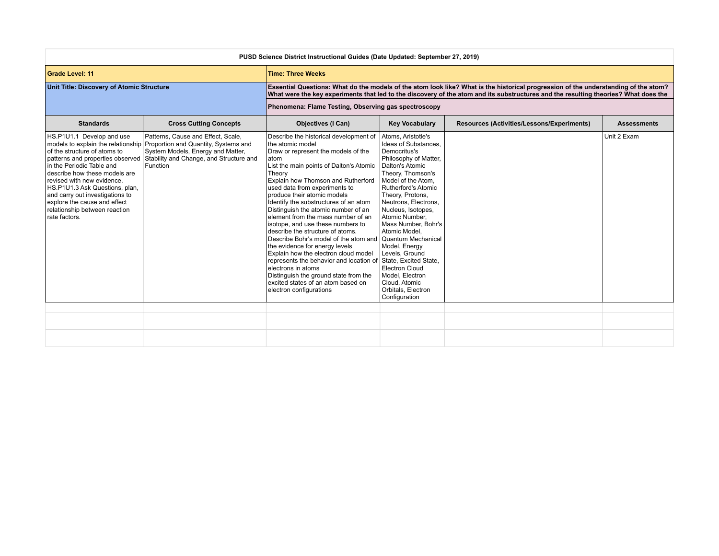| PUSD Science District Instructional Guides (Date Updated: September 27, 2019)                                                                                                                                                                                                                                                                    |                                                                                                                                                                                                           |                                                                                                                                                                                                                                                                                                                                                                                                                                                                                                                                                                                                                                                                                                                                                                                          |                                                                                                                                                                                                                                                                                                                                                                                                                                                                          |                                                                                                                                                                                                                                                                            |                    |  |
|--------------------------------------------------------------------------------------------------------------------------------------------------------------------------------------------------------------------------------------------------------------------------------------------------------------------------------------------------|-----------------------------------------------------------------------------------------------------------------------------------------------------------------------------------------------------------|------------------------------------------------------------------------------------------------------------------------------------------------------------------------------------------------------------------------------------------------------------------------------------------------------------------------------------------------------------------------------------------------------------------------------------------------------------------------------------------------------------------------------------------------------------------------------------------------------------------------------------------------------------------------------------------------------------------------------------------------------------------------------------------|--------------------------------------------------------------------------------------------------------------------------------------------------------------------------------------------------------------------------------------------------------------------------------------------------------------------------------------------------------------------------------------------------------------------------------------------------------------------------|----------------------------------------------------------------------------------------------------------------------------------------------------------------------------------------------------------------------------------------------------------------------------|--------------------|--|
| <b>Grade Level: 11</b>                                                                                                                                                                                                                                                                                                                           |                                                                                                                                                                                                           | <b>Time: Three Weeks</b>                                                                                                                                                                                                                                                                                                                                                                                                                                                                                                                                                                                                                                                                                                                                                                 |                                                                                                                                                                                                                                                                                                                                                                                                                                                                          |                                                                                                                                                                                                                                                                            |                    |  |
| Unit Title: Discovery of Atomic Structure                                                                                                                                                                                                                                                                                                        |                                                                                                                                                                                                           |                                                                                                                                                                                                                                                                                                                                                                                                                                                                                                                                                                                                                                                                                                                                                                                          |                                                                                                                                                                                                                                                                                                                                                                                                                                                                          | Essential Questions: What do the models of the atom look like? What is the historical progression of the understanding of the atom?<br>What were the key experiments that led to the discovery of the atom and its substructures and the resulting theories? What does the |                    |  |
|                                                                                                                                                                                                                                                                                                                                                  |                                                                                                                                                                                                           | Phenomena: Flame Testing, Observing gas spectroscopy                                                                                                                                                                                                                                                                                                                                                                                                                                                                                                                                                                                                                                                                                                                                     |                                                                                                                                                                                                                                                                                                                                                                                                                                                                          |                                                                                                                                                                                                                                                                            |                    |  |
| <b>Standards</b>                                                                                                                                                                                                                                                                                                                                 | <b>Cross Cutting Concepts</b>                                                                                                                                                                             | <b>Objectives (I Can)</b>                                                                                                                                                                                                                                                                                                                                                                                                                                                                                                                                                                                                                                                                                                                                                                | <b>Key Vocabulary</b>                                                                                                                                                                                                                                                                                                                                                                                                                                                    | <b>Resources (Activities/Lessons/Experiments)</b>                                                                                                                                                                                                                          | <b>Assessments</b> |  |
| HS.P1U1.1 Develop and use<br>of the structure of atoms to<br>patterns and properties observed<br>In the Periodic Table and<br>describe how these models are<br>revised with new evidence.<br>HS.P1U1.3 Ask Questions, plan,<br>and carry out investigations to<br>explore the cause and effect<br>relationship between reaction<br>rate factors. | Patterns, Cause and Effect, Scale,<br>models to explain the relationship Proportion and Quantity, Systems and<br>System Models, Energy and Matter,<br>Stability and Change, and Structure and<br>Function | Describe the historical development of<br>the atomic model<br>Draw or represent the models of the<br>latom<br>List the main points of Dalton's Atomic<br>Theory<br>Explain how Thomson and Rutherford<br>used data from experiments to<br>produce their atomic models<br>Identify the substructures of an atom<br>Distinguish the atomic number of an<br>element from the mass number of an<br>isotope, and use these numbers to<br>describe the structure of atoms.<br>Describe Bohr's model of the atom and<br>the evidence for energy levels<br>Explain how the electron cloud model<br>represents the behavior and location of State. Excited State.<br>electrons in atoms<br>Distinguish the ground state from the<br>excited states of an atom based on<br>electron configurations | Atoms, Aristotle's<br>Ideas of Substances.<br>Democritus's<br>Philosophy of Matter,<br>Dalton's Atomic<br>Theory, Thomson's<br>Model of the Atom,<br>Rutherford's Atomic<br>Theory, Protons,<br>Neutrons, Electrons,<br>Nucleus, Isotopes,<br>Atomic Number,<br>Mass Number, Bohr's<br>Atomic Model.<br><b>Quantum Mechanical</b><br>Model, Energy<br>Levels, Ground<br><b>Electron Cloud</b><br>Model, Electron<br>Cloud. Atomic<br>Orbitals, Electron<br>Configuration |                                                                                                                                                                                                                                                                            | Unit 2 Exam        |  |
|                                                                                                                                                                                                                                                                                                                                                  |                                                                                                                                                                                                           |                                                                                                                                                                                                                                                                                                                                                                                                                                                                                                                                                                                                                                                                                                                                                                                          |                                                                                                                                                                                                                                                                                                                                                                                                                                                                          |                                                                                                                                                                                                                                                                            |                    |  |
|                                                                                                                                                                                                                                                                                                                                                  |                                                                                                                                                                                                           |                                                                                                                                                                                                                                                                                                                                                                                                                                                                                                                                                                                                                                                                                                                                                                                          |                                                                                                                                                                                                                                                                                                                                                                                                                                                                          |                                                                                                                                                                                                                                                                            |                    |  |
|                                                                                                                                                                                                                                                                                                                                                  |                                                                                                                                                                                                           |                                                                                                                                                                                                                                                                                                                                                                                                                                                                                                                                                                                                                                                                                                                                                                                          |                                                                                                                                                                                                                                                                                                                                                                                                                                                                          |                                                                                                                                                                                                                                                                            |                    |  |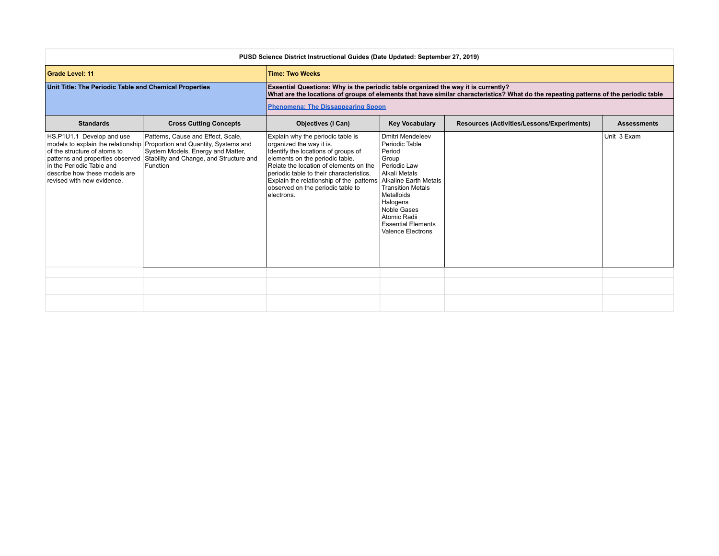| PUSD Science District Instructional Guides (Date Updated: September 27, 2019)                                                                                                             |                                                                                                                                                                                                           |                                                                                                                                                                                                                                                                                                                              |                                                                                                                                                                                                                                                        |                                                                                                                                      |             |  |
|-------------------------------------------------------------------------------------------------------------------------------------------------------------------------------------------|-----------------------------------------------------------------------------------------------------------------------------------------------------------------------------------------------------------|------------------------------------------------------------------------------------------------------------------------------------------------------------------------------------------------------------------------------------------------------------------------------------------------------------------------------|--------------------------------------------------------------------------------------------------------------------------------------------------------------------------------------------------------------------------------------------------------|--------------------------------------------------------------------------------------------------------------------------------------|-------------|--|
| <b>Grade Level: 11</b>                                                                                                                                                                    |                                                                                                                                                                                                           | <b>Time: Two Weeks</b>                                                                                                                                                                                                                                                                                                       |                                                                                                                                                                                                                                                        |                                                                                                                                      |             |  |
| Unit Title: The Periodic Table and Chemical Properties                                                                                                                                    |                                                                                                                                                                                                           | Essential Questions: Why is the periodic table organized the way it is currently?                                                                                                                                                                                                                                            |                                                                                                                                                                                                                                                        | What are the locations of groups of elements that have similar characteristics? What do the repeating patterns of the periodic table |             |  |
|                                                                                                                                                                                           |                                                                                                                                                                                                           | <b>Phenomena: The Dissappearing Spoon</b>                                                                                                                                                                                                                                                                                    |                                                                                                                                                                                                                                                        |                                                                                                                                      |             |  |
| <b>Standards</b>                                                                                                                                                                          | <b>Cross Cutting Concepts</b>                                                                                                                                                                             | <b>Objectives (I Can)</b>                                                                                                                                                                                                                                                                                                    | <b>Key Vocabulary</b><br>Resources (Activities/Lessons/Experiments)<br><b>Assessments</b>                                                                                                                                                              |                                                                                                                                      |             |  |
| HS.P1U1.1 Develop and use<br>of the structure of atoms to<br>patterns and properties observed<br>in the Periodic Table and<br>describe how these models are<br>revised with new evidence. | Patterns, Cause and Effect, Scale,<br>models to explain the relationship Proportion and Quantity, Systems and<br>System Models, Energy and Matter,<br>Stability and Change, and Structure and<br>Function | Explain why the periodic table is<br>organized the way it is.<br>Identify the locations of groups of<br>elements on the periodic table.<br>Relate the location of elements on the<br>periodic table to their characteristics.<br>Explain the relationship of the patterns<br>observed on the periodic table to<br>electrons. | Dmitri Mendeleev<br>Periodic Table<br>Period<br>Group<br>Periodic Law<br>Alkali Metals<br>Alkaline Earth Metals<br><b>Transition Metals</b><br>Metalloids<br>Halogens<br>Noble Gases<br>Atomic Radii<br><b>Essential Elements</b><br>Valence Electrons |                                                                                                                                      | Unit 3 Exam |  |
|                                                                                                                                                                                           |                                                                                                                                                                                                           |                                                                                                                                                                                                                                                                                                                              |                                                                                                                                                                                                                                                        |                                                                                                                                      |             |  |
|                                                                                                                                                                                           |                                                                                                                                                                                                           |                                                                                                                                                                                                                                                                                                                              |                                                                                                                                                                                                                                                        |                                                                                                                                      |             |  |
|                                                                                                                                                                                           |                                                                                                                                                                                                           |                                                                                                                                                                                                                                                                                                                              |                                                                                                                                                                                                                                                        |                                                                                                                                      |             |  |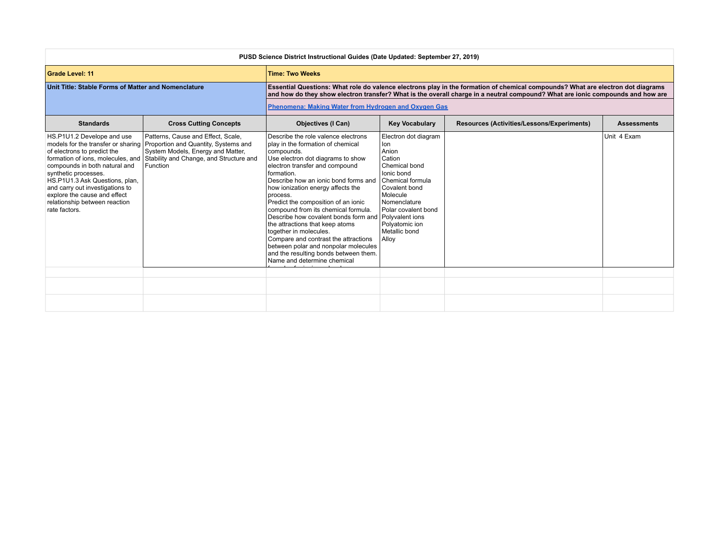| PUSD Science District Instructional Guides (Date Updated: September 27, 2019)                                                                                                                                                                                                                                  |                                                                                                                                                                                                             |                                                                                                                                                                                                                                                                                                                                                                                                                                                                                                                                                                                                                                 |                                                                                                                                                                                                                   |                                                                                                                                                                                                                                                                   |                    |  |
|----------------------------------------------------------------------------------------------------------------------------------------------------------------------------------------------------------------------------------------------------------------------------------------------------------------|-------------------------------------------------------------------------------------------------------------------------------------------------------------------------------------------------------------|---------------------------------------------------------------------------------------------------------------------------------------------------------------------------------------------------------------------------------------------------------------------------------------------------------------------------------------------------------------------------------------------------------------------------------------------------------------------------------------------------------------------------------------------------------------------------------------------------------------------------------|-------------------------------------------------------------------------------------------------------------------------------------------------------------------------------------------------------------------|-------------------------------------------------------------------------------------------------------------------------------------------------------------------------------------------------------------------------------------------------------------------|--------------------|--|
| <b>Grade Level: 11</b>                                                                                                                                                                                                                                                                                         |                                                                                                                                                                                                             | <b>Time: Two Weeks</b>                                                                                                                                                                                                                                                                                                                                                                                                                                                                                                                                                                                                          |                                                                                                                                                                                                                   |                                                                                                                                                                                                                                                                   |                    |  |
| Unit Title: Stable Forms of Matter and Nomenclature                                                                                                                                                                                                                                                            |                                                                                                                                                                                                             |                                                                                                                                                                                                                                                                                                                                                                                                                                                                                                                                                                                                                                 |                                                                                                                                                                                                                   | Essential Questions: What role do valence electrons play in the formation of chemical compounds? What are electron dot diagrams<br>and how do they show electron transfer? What is the overall charge in a neutral compound? What are ionic compounds and how are |                    |  |
|                                                                                                                                                                                                                                                                                                                |                                                                                                                                                                                                             | Phenomena: Making Water from Hydrogen and Oxygen Gas                                                                                                                                                                                                                                                                                                                                                                                                                                                                                                                                                                            |                                                                                                                                                                                                                   |                                                                                                                                                                                                                                                                   |                    |  |
| <b>Standards</b>                                                                                                                                                                                                                                                                                               | <b>Cross Cutting Concepts</b>                                                                                                                                                                               | <b>Objectives (I Can)</b>                                                                                                                                                                                                                                                                                                                                                                                                                                                                                                                                                                                                       | <b>Key Vocabulary</b>                                                                                                                                                                                             | Resources (Activities/Lessons/Experiments)                                                                                                                                                                                                                        | <b>Assessments</b> |  |
| HS.P1U1.2 Develope and use<br>of electrons to predict the<br>formation of ions, molecules, and<br>compounds in both natural and<br>synthetic processes.<br>HS.P1U1.3 Ask Questions, plan,<br>and carry out investigations to<br>explore the cause and effect<br>relationship between reaction<br>rate factors. | Patterns, Cause and Effect, Scale,<br>models for the transfer or sharing Proportion and Quantity, Systems and<br>System Models, Energy and Matter,<br>Stability and Change, and Structure and<br>l Function | Describe the role valence electrons<br>play in the formation of chemical<br>compounds.<br>Use electron dot diagrams to show<br>electron transfer and compound<br>formation.<br>Describe how an ionic bond forms and<br>how ionization energy affects the<br>process.<br>Predict the composition of an ionic<br>compound from its chemical formula.<br>Describe how covalent bonds form and Polyvalent ions<br>the attractions that keep atoms<br>together in molecules.<br>Compare and contrast the attractions<br>between polar and nonpolar molecules<br>and the resulting bonds between them.<br>Name and determine chemical | Electron dot diagram<br>lon<br>Anion<br>Cation<br>Chemical bond<br>Ionic bond<br>Chemical formula<br>Covalent bond<br>Molecule<br>Nomenclature<br>Polar covalent bond<br>Polyatomic ion<br>Metallic bond<br>Alloy |                                                                                                                                                                                                                                                                   | Unit 4 Exam        |  |
|                                                                                                                                                                                                                                                                                                                |                                                                                                                                                                                                             |                                                                                                                                                                                                                                                                                                                                                                                                                                                                                                                                                                                                                                 |                                                                                                                                                                                                                   |                                                                                                                                                                                                                                                                   |                    |  |
|                                                                                                                                                                                                                                                                                                                |                                                                                                                                                                                                             |                                                                                                                                                                                                                                                                                                                                                                                                                                                                                                                                                                                                                                 |                                                                                                                                                                                                                   |                                                                                                                                                                                                                                                                   |                    |  |
|                                                                                                                                                                                                                                                                                                                |                                                                                                                                                                                                             |                                                                                                                                                                                                                                                                                                                                                                                                                                                                                                                                                                                                                                 |                                                                                                                                                                                                                   |                                                                                                                                                                                                                                                                   |                    |  |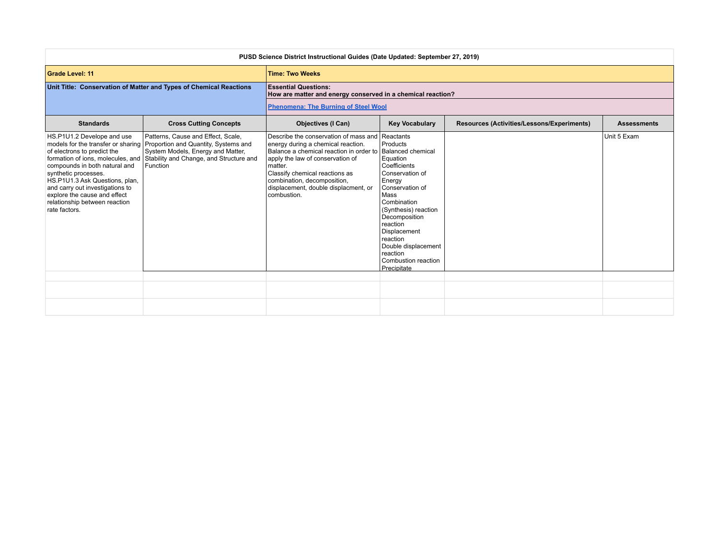| PUSD Science District Instructional Guides (Date Updated: September 27, 2019)                                                                                                                                                                                             |                                                                                                                                                                                                                                             |                                                                                                                                                                                                                                                                                               |                                                                                                                                                                                                                                                                                                         |                                            |                    |  |
|---------------------------------------------------------------------------------------------------------------------------------------------------------------------------------------------------------------------------------------------------------------------------|---------------------------------------------------------------------------------------------------------------------------------------------------------------------------------------------------------------------------------------------|-----------------------------------------------------------------------------------------------------------------------------------------------------------------------------------------------------------------------------------------------------------------------------------------------|---------------------------------------------------------------------------------------------------------------------------------------------------------------------------------------------------------------------------------------------------------------------------------------------------------|--------------------------------------------|--------------------|--|
| <b>Grade Level: 11</b>                                                                                                                                                                                                                                                    |                                                                                                                                                                                                                                             | <b>Time: Two Weeks</b>                                                                                                                                                                                                                                                                        |                                                                                                                                                                                                                                                                                                         |                                            |                    |  |
|                                                                                                                                                                                                                                                                           | Unit Title: Conservation of Matter and Types of Chemical Reactions                                                                                                                                                                          | <b>Essential Questions:</b><br>How are matter and energy conserved in a chemical reaction?                                                                                                                                                                                                    |                                                                                                                                                                                                                                                                                                         |                                            |                    |  |
|                                                                                                                                                                                                                                                                           |                                                                                                                                                                                                                                             | <b>Phenomena: The Burning of Steel Wool</b>                                                                                                                                                                                                                                                   |                                                                                                                                                                                                                                                                                                         |                                            |                    |  |
| <b>Standards</b>                                                                                                                                                                                                                                                          | <b>Cross Cutting Concepts</b>                                                                                                                                                                                                               | <b>Objectives (I Can)</b>                                                                                                                                                                                                                                                                     | <b>Key Vocabulary</b>                                                                                                                                                                                                                                                                                   | Resources (Activities/Lessons/Experiments) | <b>Assessments</b> |  |
| HS.P1U1.2 Develope and use<br>of electrons to predict the<br>compounds in both natural and<br>synthetic processes.<br>HS.P1U1.3 Ask Questions, plan,<br>and carry out investigations to<br>explore the cause and effect<br>relationship between reaction<br>rate factors. | Patterns, Cause and Effect, Scale,<br>models for the transfer or sharing Proportion and Quantity, Systems and<br>System Models, Energy and Matter,<br>formation of ions, molecules, and Stability and Change, and Structure and<br>Function | Describe the conservation of mass and<br>energy during a chemical reaction.<br>Balance a chemical reaction in order to<br>apply the law of conservation of<br>matter.<br>Classify chemical reactions as<br>combination, decomposition,<br>displacement, double displacment, or<br>combustion. | Reactants<br>Products<br>Balanced chemical<br>Equation<br>Coefficients<br>Conservation of<br>Energy<br>Conservation of<br>Mass<br>Combination<br>(Synthesis) reaction<br>Decomposition<br>reaction<br>Displacement<br>reaction<br>Double displacement<br>reaction<br>Combustion reaction<br>Precipitate |                                            | Unit 5 Exam        |  |
|                                                                                                                                                                                                                                                                           |                                                                                                                                                                                                                                             |                                                                                                                                                                                                                                                                                               |                                                                                                                                                                                                                                                                                                         |                                            |                    |  |
|                                                                                                                                                                                                                                                                           |                                                                                                                                                                                                                                             |                                                                                                                                                                                                                                                                                               |                                                                                                                                                                                                                                                                                                         |                                            |                    |  |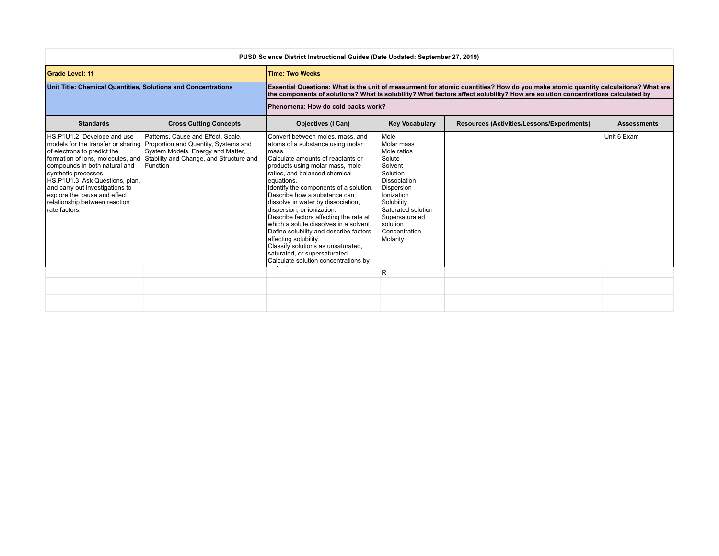| PUSD Science District Instructional Guides (Date Updated: September 27, 2019)                                                                                                                                                                                                                                  |                                                                                                                                                                                                           |                                                                                                                                                                                                                                                                                                                                                                                                                                                                                                                                                                                                                          |                                                                                                                                                                                                               |                                                                                                                                                                                                                                                                     |                    |  |
|----------------------------------------------------------------------------------------------------------------------------------------------------------------------------------------------------------------------------------------------------------------------------------------------------------------|-----------------------------------------------------------------------------------------------------------------------------------------------------------------------------------------------------------|--------------------------------------------------------------------------------------------------------------------------------------------------------------------------------------------------------------------------------------------------------------------------------------------------------------------------------------------------------------------------------------------------------------------------------------------------------------------------------------------------------------------------------------------------------------------------------------------------------------------------|---------------------------------------------------------------------------------------------------------------------------------------------------------------------------------------------------------------|---------------------------------------------------------------------------------------------------------------------------------------------------------------------------------------------------------------------------------------------------------------------|--------------------|--|
| <b>Grade Level: 11</b>                                                                                                                                                                                                                                                                                         |                                                                                                                                                                                                           | <b>Time: Two Weeks</b>                                                                                                                                                                                                                                                                                                                                                                                                                                                                                                                                                                                                   |                                                                                                                                                                                                               |                                                                                                                                                                                                                                                                     |                    |  |
| Unit Title: Chemical Quantities, Solutions and Concentrations                                                                                                                                                                                                                                                  |                                                                                                                                                                                                           |                                                                                                                                                                                                                                                                                                                                                                                                                                                                                                                                                                                                                          |                                                                                                                                                                                                               | Essential Questions: What is the unit of measurment for atomic quantities? How do you make atomic quantity calculaitons? What are<br>the components of solutions? What is solubility? What factors affect solubility? How are solution concentrations calculated by |                    |  |
|                                                                                                                                                                                                                                                                                                                |                                                                                                                                                                                                           | Phenomena: How do cold packs work?                                                                                                                                                                                                                                                                                                                                                                                                                                                                                                                                                                                       |                                                                                                                                                                                                               |                                                                                                                                                                                                                                                                     |                    |  |
| <b>Standards</b>                                                                                                                                                                                                                                                                                               | <b>Cross Cutting Concepts</b>                                                                                                                                                                             | <b>Objectives (I Can)</b>                                                                                                                                                                                                                                                                                                                                                                                                                                                                                                                                                                                                | <b>Key Vocabulary</b>                                                                                                                                                                                         | Resources (Activities/Lessons/Experiments)                                                                                                                                                                                                                          | <b>Assessments</b> |  |
| HS.P1U1.2 Develope and use<br>of electrons to predict the<br>formation of ions, molecules, and<br>compounds in both natural and<br>synthetic processes.<br>HS.P1U1.3 Ask Questions, plan,<br>and carry out investigations to<br>explore the cause and effect<br>relationship between reaction<br>rate factors. | Patterns, Cause and Effect, Scale,<br>models for the transfer or sharing Proportion and Quantity, Systems and<br>System Models, Energy and Matter,<br>Stability and Change, and Structure and<br>Function | Convert between moles, mass, and<br>atoms of a substance using molar<br>mass.<br>Calculate amounts of reactants or<br>products using molar mass, mole<br>ratios, and balanced chemical<br>equations.<br>Identify the components of a solution.<br>Describe how a substance can<br>dissolve in water by dissociation,<br>dispersion, or ionization.<br>Describe factors affecting the rate at<br>which a solute dissolves in a solvent.<br>Define solubility and describe factors<br>affecting solubility.<br>Classify solutions as unsaturated,<br>saturated, or supersaturated.<br>Calculate solution concentrations by | Mole<br>Molar mass<br>Mole ratios<br>Solute<br>Solvent<br>Solution<br>Dissociation<br>Dispersion<br>Ionization<br>Solubility<br>Saturated solution<br>Supersaturated<br>solution<br>Concentration<br>Molarity |                                                                                                                                                                                                                                                                     | Unit 6 Exam        |  |
|                                                                                                                                                                                                                                                                                                                |                                                                                                                                                                                                           |                                                                                                                                                                                                                                                                                                                                                                                                                                                                                                                                                                                                                          | R                                                                                                                                                                                                             |                                                                                                                                                                                                                                                                     |                    |  |
|                                                                                                                                                                                                                                                                                                                |                                                                                                                                                                                                           |                                                                                                                                                                                                                                                                                                                                                                                                                                                                                                                                                                                                                          |                                                                                                                                                                                                               |                                                                                                                                                                                                                                                                     |                    |  |
|                                                                                                                                                                                                                                                                                                                |                                                                                                                                                                                                           |                                                                                                                                                                                                                                                                                                                                                                                                                                                                                                                                                                                                                          |                                                                                                                                                                                                               |                                                                                                                                                                                                                                                                     |                    |  |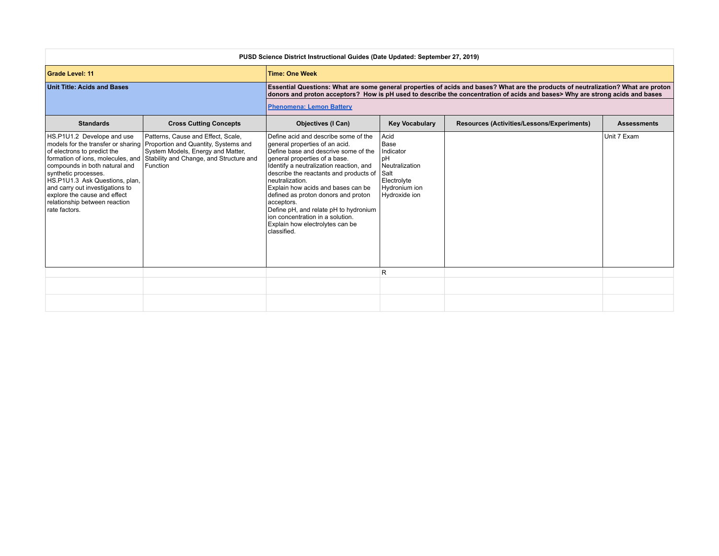| PUSD Science District Instructional Guides (Date Updated: September 27, 2019)                                                                                                                                                                                                                                  |                                                                                                                                                                                                           |                                                                                                                                                                                                                                                                                                                                                                                                                                                                                   |                                                                                                                                 |                                                                                                                                                                                                                                                                    |                    |  |
|----------------------------------------------------------------------------------------------------------------------------------------------------------------------------------------------------------------------------------------------------------------------------------------------------------------|-----------------------------------------------------------------------------------------------------------------------------------------------------------------------------------------------------------|-----------------------------------------------------------------------------------------------------------------------------------------------------------------------------------------------------------------------------------------------------------------------------------------------------------------------------------------------------------------------------------------------------------------------------------------------------------------------------------|---------------------------------------------------------------------------------------------------------------------------------|--------------------------------------------------------------------------------------------------------------------------------------------------------------------------------------------------------------------------------------------------------------------|--------------------|--|
| <b>Grade Level: 11</b>                                                                                                                                                                                                                                                                                         |                                                                                                                                                                                                           | <b>Time: One Week</b>                                                                                                                                                                                                                                                                                                                                                                                                                                                             |                                                                                                                                 |                                                                                                                                                                                                                                                                    |                    |  |
| <b>Unit Title: Acids and Bases</b>                                                                                                                                                                                                                                                                             |                                                                                                                                                                                                           |                                                                                                                                                                                                                                                                                                                                                                                                                                                                                   |                                                                                                                                 | Essential Questions: What are some general properties of acids and bases? What are the products of neutralization? What are proton<br>donors and proton acceptors? How is pH used to describe the concentration of acids and bases> Why are strong acids and bases |                    |  |
|                                                                                                                                                                                                                                                                                                                |                                                                                                                                                                                                           | <b>Phenomena: Lemon Battery</b>                                                                                                                                                                                                                                                                                                                                                                                                                                                   |                                                                                                                                 |                                                                                                                                                                                                                                                                    |                    |  |
| <b>Standards</b>                                                                                                                                                                                                                                                                                               | <b>Cross Cutting Concepts</b>                                                                                                                                                                             | <b>Objectives (I Can)</b>                                                                                                                                                                                                                                                                                                                                                                                                                                                         | <b>Key Vocabulary</b>                                                                                                           | Resources (Activities/Lessons/Experiments)                                                                                                                                                                                                                         | <b>Assessments</b> |  |
| HS.P1U1.2 Develope and use<br>of electrons to predict the<br>formation of ions, molecules, and<br>compounds in both natural and<br>synthetic processes.<br>HS.P1U1.3 Ask Questions, plan,<br>and carry out investigations to<br>explore the cause and effect<br>relationship between reaction<br>rate factors. | Patterns, Cause and Effect, Scale,<br>models for the transfer or sharing Proportion and Quantity, Systems and<br>System Models, Energy and Matter,<br>Stability and Change, and Structure and<br>Function | Define acid and describe some of the<br>general properties of an acid.<br>Define base and descrive some of the<br>general properties of a base.<br>Identify a neutralization reaction, and<br>describe the reactants and products of<br>neutralization.<br>Explain how acids and bases can be<br>defined as proton donors and proton<br>acceptors.<br>Define pH, and relate pH to hydronium<br>ion concentration in a solution.<br>Explain how electrolytes can be<br>classified. | Acid<br><b>Base</b><br><b>Indicator</b><br>pH<br>Neutralization<br><b>Salt</b><br>Electrolyte<br>Hydronium ion<br>Hydroxide ion |                                                                                                                                                                                                                                                                    | Unit 7 Exam        |  |
|                                                                                                                                                                                                                                                                                                                |                                                                                                                                                                                                           |                                                                                                                                                                                                                                                                                                                                                                                                                                                                                   | R                                                                                                                               |                                                                                                                                                                                                                                                                    |                    |  |
|                                                                                                                                                                                                                                                                                                                |                                                                                                                                                                                                           |                                                                                                                                                                                                                                                                                                                                                                                                                                                                                   |                                                                                                                                 |                                                                                                                                                                                                                                                                    |                    |  |
|                                                                                                                                                                                                                                                                                                                |                                                                                                                                                                                                           |                                                                                                                                                                                                                                                                                                                                                                                                                                                                                   |                                                                                                                                 |                                                                                                                                                                                                                                                                    |                    |  |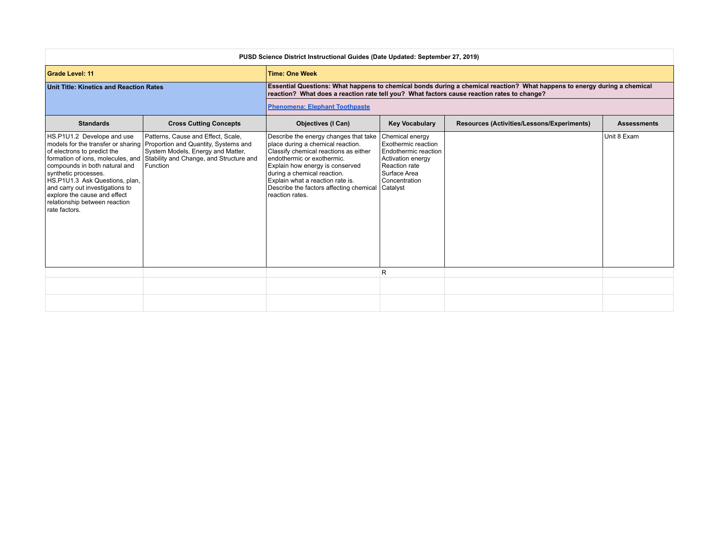| PUSD Science District Instructional Guides (Date Updated: September 27, 2019)                                                                                                                                                                                             |                                                                                                                                                                                                                                             |                                                                                                                                                                                                                                                                                                                                                |                                                                                                                    |                                                                                                                          |             |  |
|---------------------------------------------------------------------------------------------------------------------------------------------------------------------------------------------------------------------------------------------------------------------------|---------------------------------------------------------------------------------------------------------------------------------------------------------------------------------------------------------------------------------------------|------------------------------------------------------------------------------------------------------------------------------------------------------------------------------------------------------------------------------------------------------------------------------------------------------------------------------------------------|--------------------------------------------------------------------------------------------------------------------|--------------------------------------------------------------------------------------------------------------------------|-------------|--|
| <b>Grade Level: 11</b>                                                                                                                                                                                                                                                    |                                                                                                                                                                                                                                             | <b>Time: One Week</b>                                                                                                                                                                                                                                                                                                                          |                                                                                                                    |                                                                                                                          |             |  |
| <b>Unit Title: Kinetics and Reaction Rates</b>                                                                                                                                                                                                                            |                                                                                                                                                                                                                                             | reaction? What does a reaction rate tell you? What factors cause reaction rates to change?                                                                                                                                                                                                                                                     |                                                                                                                    | Essential Questions: What happens to chemical bonds during a chemical reaction? What happens to energy during a chemical |             |  |
|                                                                                                                                                                                                                                                                           |                                                                                                                                                                                                                                             | <b>Phenomena: Elephant Toothpaste</b>                                                                                                                                                                                                                                                                                                          |                                                                                                                    |                                                                                                                          |             |  |
| <b>Standards</b>                                                                                                                                                                                                                                                          | <b>Cross Cutting Concepts</b>                                                                                                                                                                                                               | <b>Key Vocabulary</b><br><b>Objectives (I Can)</b><br>Resources (Activities/Lessons/Experiments)<br><b>Assessments</b>                                                                                                                                                                                                                         |                                                                                                                    |                                                                                                                          |             |  |
| HS.P1U1.2 Develope and use<br>of electrons to predict the<br>compounds in both natural and<br>synthetic processes.<br>HS.P1U1.3 Ask Questions, plan,<br>and carry out investigations to<br>explore the cause and effect<br>relationship between reaction<br>rate factors. | Patterns, Cause and Effect, Scale,<br>models for the transfer or sharing Proportion and Quantity, Systems and<br>System Models, Energy and Matter,<br>formation of ions, molecules, and Stability and Change, and Structure and<br>Function | Describe the energy changes that take Chemical energy<br>place during a chemical reaction.<br>Classify chemical reactions as either<br>endothermic or exothermic.<br>Explain how energy is conserved<br>during a chemical reaction.<br>Explain what a reaction rate is.<br>Describe the factors affecting chemical Catalyst<br>reaction rates. | Exothermic reaction<br>Endothermic reaction<br>Activation energy<br>Reaction rate<br>Surface Area<br>Concentration |                                                                                                                          | Unit 8 Exam |  |
|                                                                                                                                                                                                                                                                           |                                                                                                                                                                                                                                             |                                                                                                                                                                                                                                                                                                                                                | R                                                                                                                  |                                                                                                                          |             |  |
|                                                                                                                                                                                                                                                                           |                                                                                                                                                                                                                                             |                                                                                                                                                                                                                                                                                                                                                |                                                                                                                    |                                                                                                                          |             |  |
|                                                                                                                                                                                                                                                                           |                                                                                                                                                                                                                                             |                                                                                                                                                                                                                                                                                                                                                |                                                                                                                    |                                                                                                                          |             |  |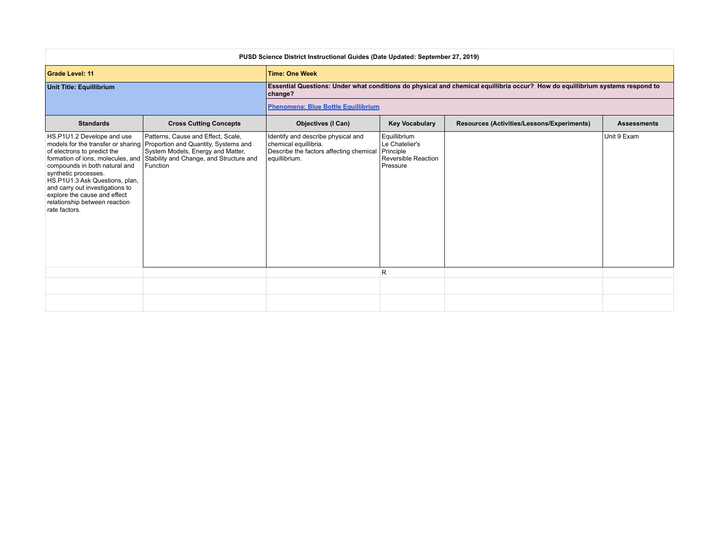| PUSD Science District Instructional Guides (Date Updated: September 27, 2019)                                                                                                                                                                                             |                                                                                                                                                                                                                                             |                                                                                                                         |                                                                                       |                                                                                                                               |                    |  |
|---------------------------------------------------------------------------------------------------------------------------------------------------------------------------------------------------------------------------------------------------------------------------|---------------------------------------------------------------------------------------------------------------------------------------------------------------------------------------------------------------------------------------------|-------------------------------------------------------------------------------------------------------------------------|---------------------------------------------------------------------------------------|-------------------------------------------------------------------------------------------------------------------------------|--------------------|--|
| <b>Grade Level: 11</b>                                                                                                                                                                                                                                                    |                                                                                                                                                                                                                                             | <b>Time: One Week</b>                                                                                                   |                                                                                       |                                                                                                                               |                    |  |
| Unit Title: Equillibrium                                                                                                                                                                                                                                                  |                                                                                                                                                                                                                                             | change?                                                                                                                 |                                                                                       | Essential Questions: Under what conditions do physical and chemical equillibria occur? How do equillibrium systems respond to |                    |  |
|                                                                                                                                                                                                                                                                           |                                                                                                                                                                                                                                             | <b>Phenomena: Blue Bottle Equillibrium</b>                                                                              |                                                                                       |                                                                                                                               |                    |  |
| <b>Standards</b>                                                                                                                                                                                                                                                          | <b>Cross Cutting Concepts</b>                                                                                                                                                                                                               | <b>Objectives (I Can)</b>                                                                                               | <b>Key Vocabulary</b>                                                                 | Resources (Activities/Lessons/Experiments)                                                                                    | <b>Assessments</b> |  |
| HS.P1U1.2 Develope and use<br>of electrons to predict the<br>compounds in both natural and<br>synthetic processes.<br>HS.P1U1.3 Ask Questions, plan,<br>and carry out investigations to<br>explore the cause and effect<br>relationship between reaction<br>rate factors. | Patterns, Cause and Effect, Scale,<br>models for the transfer or sharing Proportion and Quantity, Systems and<br>System Models, Energy and Matter,<br>formation of ions, molecules, and Stability and Change, and Structure and<br>Function | Identify and describe physical and<br>chemical equillibria.<br>Describe the factors affecting chemical<br>equillibrium. | Equillibrium<br>Le Chatelier's<br>Principle<br><b>Reversible Reaction</b><br>Pressure |                                                                                                                               | Unit 9 Exam        |  |
|                                                                                                                                                                                                                                                                           |                                                                                                                                                                                                                                             |                                                                                                                         | R                                                                                     |                                                                                                                               |                    |  |
|                                                                                                                                                                                                                                                                           |                                                                                                                                                                                                                                             |                                                                                                                         |                                                                                       |                                                                                                                               |                    |  |
|                                                                                                                                                                                                                                                                           |                                                                                                                                                                                                                                             |                                                                                                                         |                                                                                       |                                                                                                                               |                    |  |